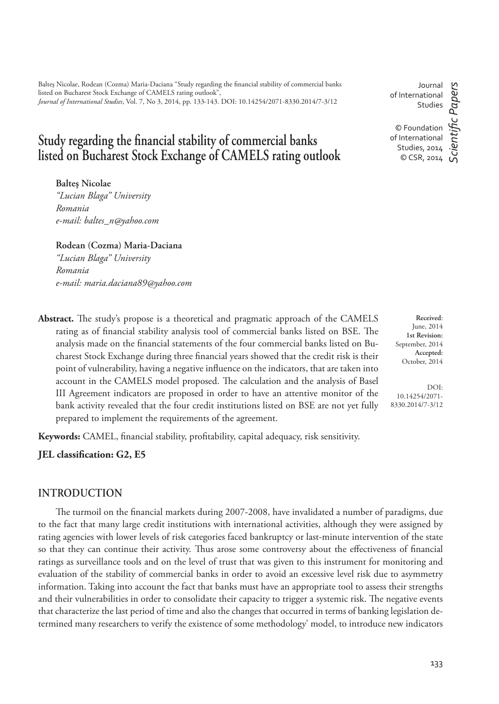Balteş Nicolae, Rodean (Cozma) Maria-Daciana "Study regarding the financial stability of commercial banks listed on Bucharest Stock Exchange of CAMELS rating outlook", *Journal of International Studies*, Vol. 7, No 3, 2014, pp. 133-143. DOI: 10.14254/2071-8330.2014/7-3/12

# **Study regarding the financial stability of commercial banks listed on Bucharest Stock Exchange of CAMELS rating outlook**

**Balteş Nicolae**

*"Lucian Blaga" University Romania e-mail: baltes\_n@yahoo.com*

**Rodean (Cozma) Maria-Daciana** *"Lucian Blaga" University Romania e-mail: maria.daciana89@yahoo.com*

Abstract. The study's propose is a theoretical and pragmatic approach of the CAMELS rating as of financial stability analysis tool of commercial banks listed on BSE. The analysis made on the financial statements of the four commercial banks listed on Bucharest Stock Exchange during three financial years showed that the credit risk is their point of vulnerability, having a negative influence on the indicators, that are taken into account in the CAMELS model proposed. The calculation and the analysis of Basel III Agreement indicators are proposed in order to have an attentive monitor of the bank activity revealed that the four credit institutions listed on BSE are not yet fully prepared to implement the requirements of the agreement.

Keywords: CAMEL, financial stability, profitability, capital adequacy, risk sensitivity.

**JEL classification: G2, E5** 

## **INTRODUCTION**

The turmoil on the financial markets during 2007-2008, have invalidated a number of paradigms, due to the fact that many large credit institutions with international activities, although they were assigned by rating agencies with lower levels of risk categories faced bankruptcy or last-minute intervention of the state so that they can continue their activity. Thus arose some controversy about the effectiveness of financial ratings as surveillance tools and on the level of trust that was given to this instrument for monitoring and evaluation of the stability of commercial banks in order to avoid an excessive level risk due to asymmetry information. Taking into account the fact that banks must have an appropriate tool to assess their strengths and their vulnerabilities in order to consolidate their capacity to trigger a systemic risk. The negative events that characterize the last period of time and also the changes that occurred in terms of banking legislation determined many researchers to verify the existence of some methodology' model, to introduce new indicators

Journal of International Studies

*ScientiÞ c Papers*

cientific Papers

© Foundation of International Studies, 2014 © CSR, 2014

> **Received**: June, 2014 **1st Revision:** September, 2014 **Accepted:** October, 2014

DOI: 10.14254/2071- 8330.2014/7-3/12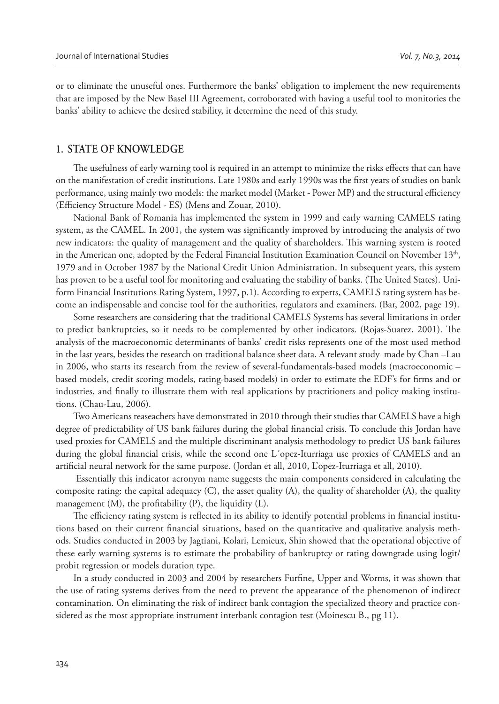or to eliminate the unuseful ones. Furthermore the banks' obligation to implement the new requirements that are imposed by the New Basel III Agreement, corroborated with having a useful tool to monitories the banks' ability to achieve the desired stability, it determine the need of this study.

### **1. STATE OF KNOWLEDGE**

The usefulness of early warning tool is required in an attempt to minimize the risks effects that can have on the manifestation of credit institutions. Late 1980s and early 1990s was the first years of studies on bank performance, using mainly two models: the market model (Market - Power MP) and the structural efficiency (Efficiency Structure Model - ES) (Mens and Zouar, 2010).

National Bank of Romania has implemented the system in 1999 and early warning CAMELS rating system, as the CAMEL. In 2001, the system was significantly improved by introducing the analysis of two new indicators: the quality of management and the quality of shareholders. This warning system is rooted in the American one, adopted by the Federal Financial Institution Examination Council on November  $13<sup>th</sup>$ , 1979 and in October 1987 by the National Credit Union Administration. In subsequent years, this system has proven to be a useful tool for monitoring and evaluating the stability of banks. (The United States). Uniform Financial Institutions Rating System, 1997, p.1). According to experts, CAMELS rating system has become an indispensable and concise tool for the authorities, regulators and examiners. (Bar, 2002, page 19).

Some researchers are considering that the traditional CAMELS Systems has several limitations in order to predict bankruptcies, so it needs to be complemented by other indicators. (Rojas-Suarez, 2001). The analysis of the macroeconomic determinants of banks' credit risks represents one of the most used method in the last years, besides the research on traditional balance sheet data. A relevant study made by Chan –Lau in 2006, who starts its research from the review of several-fundamentals-based models (macroeconomic – based models, credit scoring models, rating-based models) in order to estimate the EDF's for firms and or industries, and finally to illustrate them with real applications by practitioners and policy making institutions. (Chau-Lau, 2006).

Two Americans reaseachers have demonstrated in 2010 through their studies that CAMELS have a high degree of predictability of US bank failures during the global financial crisis. To conclude this Jordan have used proxies for CAMELS and the multiple discriminant analysis methodology to predict US bank failures during the global financial crisis, while the second one L'opez-Iturriaga use proxies of CAMELS and an artificial neural network for the same purpose. (Jordan et all, 2010, L'opez-Iturriaga et all, 2010).

 Essentially this indicator acronym name suggests the main components considered in calculating the composite rating: the capital adequacy (C), the asset quality (A), the quality of shareholder (A), the quality management  $(M)$ , the profitability  $(P)$ , the liquidity  $(L)$ .

The efficiency rating system is reflected in its ability to identify potential problems in financial institutions based on their current financial situations, based on the quantitative and qualitative analysis methods. Studies conducted in 2003 by Jagtiani, Kolari, Lemieux, Shin showed that the operational objective of these early warning systems is to estimate the probability of bankruptcy or rating downgrade using logit/ probit regression or models duration type.

In a study conducted in 2003 and 2004 by researchers Furfine, Upper and Worms, it was shown that the use of rating systems derives from the need to prevent the appearance of the phenomenon of indirect contamination. On eliminating the risk of indirect bank contagion the specialized theory and practice considered as the most appropriate instrument interbank contagion test (Moinescu B., pg 11).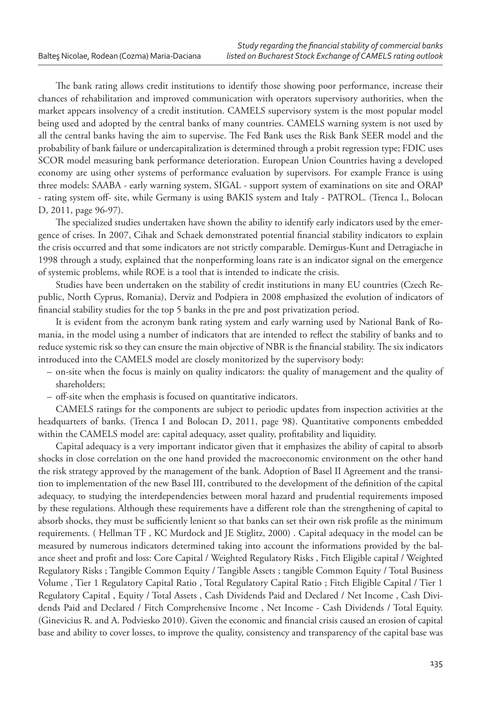The bank rating allows credit institutions to identify those showing poor performance, increase their chances of rehabilitation and improved communication with operators supervisory authorities, when the market appears insolvency of a credit institution. CAMELS supervisory system is the most popular model being used and adopted by the central banks of many countries. CAMELS warning system is not used by all the central banks having the aim to supervise. The Fed Bank uses the Risk Bank SEER model and the probability of bank failure or undercapitalization is determined through a probit regression type; FDIC uses SCOR model measuring bank performance deterioration. European Union Countries having a developed economy are using other systems of performance evaluation by supervisors. For example France is using three models: SAABA - early warning system, SIGAL - support system of examinations on site and ORAP - rating system off- site, while Germany is using BAKIS system and Italy - PATROL. (Trenca I., Bolocan D, 2011, page 96-97).

The specialized studies undertaken have shown the ability to identify early indicators used by the emergence of crises. In 2007, Cihak and Schaek demonstrated potential financial stability indicators to explain the crisis occurred and that some indicators are not strictly comparable. Demirgus-Kunt and Detragiache in 1998 through a study, explained that the nonperforming loans rate is an indicator signal on the emergence of systemic problems, while ROE is a tool that is intended to indicate the crisis.

Studies have been undertaken on the stability of credit institutions in many EU countries (Czech Republic, North Cyprus, Romania), Derviz and Podpiera in 2008 emphasized the evolution of indicators of financial stability studies for the top 5 banks in the pre and post privatization period.

It is evident from the acronym bank rating system and early warning used by National Bank of Romania, in the model using a number of indicators that are intended to reflect the stability of banks and to reduce systemic risk so they can ensure the main objective of NBR is the financial stability. The six indicators introduced into the CAMELS model are closely monitorized by the supervisory body:

- on-site when the focus is mainly on quality indicators: the quality of management and the quality of shareholders;
- off-site when the emphasis is focused on quantitative indicators.

CAMELS ratings for the components are subject to periodic updates from inspection activities at the headquarters of banks. (Trenca I and Bolocan D, 2011, page 98). Quantitative components embedded within the CAMELS model are: capital adequacy, asset quality, profitability and liquidity.

Capital adequacy is a very important indicator given that it emphasizes the ability of capital to absorb shocks in close correlation on the one hand provided the macroeconomic environment on the other hand the risk strategy approved by the management of the bank. Adoption of Basel II Agreement and the transition to implementation of the new Basel III, contributed to the development of the definition of the capital adequacy, to studying the interdependencies between moral hazard and prudential requirements imposed by these regulations. Although these requirements have a different role than the strengthening of capital to absorb shocks, they must be sufficiently lenient so that banks can set their own risk profile as the minimum requirements. ( Hellman TF , KC Murdock and JE Stiglitz, 2000) . Capital adequacy in the model can be measured by numerous indicators determined taking into account the informations provided by the balance sheet and profit and loss: Core Capital / Weighted Regulatory Risks, Fitch Eligible capital / Weighted Regulatory Risks ; Tangible Common Equity / Tangible Assets ; tangible Common Equity / Total Business Volume , Tier 1 Regulatory Capital Ratio , Total Regulatory Capital Ratio ; Fitch Eligible Capital / Tier 1 Regulatory Capital , Equity / Total Assets , Cash Dividends Paid and Declared / Net Income , Cash Dividends Paid and Declared / Fitch Comprehensive Income , Net Income - Cash Dividends / Total Equity. (Ginevicius R. and A. Podviesko 2010). Given the economic and financial crisis caused an erosion of capital base and ability to cover losses, to improve the quality, consistency and transparency of the capital base was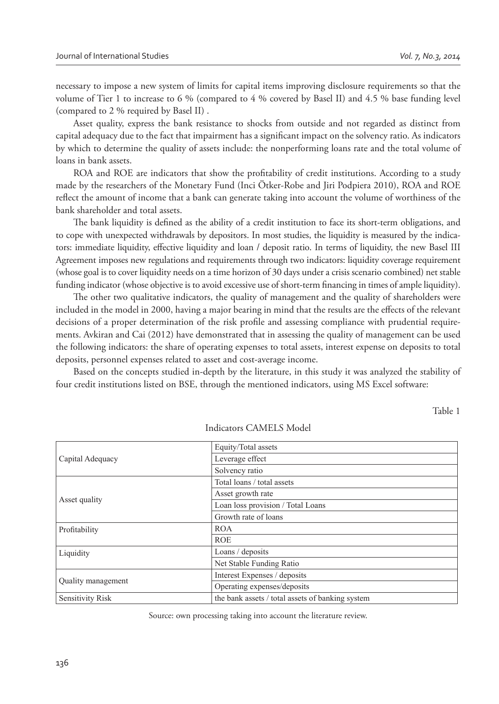necessary to impose a new system of limits for capital items improving disclosure requirements so that the volume of Tier 1 to increase to 6 % (compared to 4 % covered by Basel II) and 4.5 % base funding level (compared to 2 % required by Basel II) .

Asset quality, express the bank resistance to shocks from outside and not regarded as distinct from capital adequacy due to the fact that impairment has a significant impact on the solvency ratio. As indicators by which to determine the quality of assets include: the nonperforming loans rate and the total volume of loans in bank assets.

ROA and ROE are indicators that show the profitability of credit institutions. According to a study made by the researchers of the Monetary Fund (Inci Ötker-Robe and Jiri Podpiera 2010), ROA and ROE reflect the amount of income that a bank can generate taking into account the volume of worthiness of the bank shareholder and total assets.

The bank liquidity is defined as the ability of a credit institution to face its short-term obligations, and to cope with unexpected withdrawals by depositors. In most studies, the liquidity is measured by the indicators: immediate liquidity, effective liquidity and loan / deposit ratio. In terms of liquidity, the new Basel III Agreement imposes new regulations and requirements through two indicators: liquidity coverage requirement (whose goal is to cover liquidity needs on a time horizon of 30 days under a crisis scenario combined) net stable funding indicator (whose objective is to avoid excessive use of short-term financing in times of ample liquidity).

The other two qualitative indicators, the quality of management and the quality of shareholders were included in the model in 2000, having a major bearing in mind that the results are the effects of the relevant decisions of a proper determination of the risk profile and assessing compliance with prudential requirements. Avkiran and Cai (2012) have demonstrated that in assessing the quality of management can be used the following indicators: the share of operating expenses to total assets, interest expense on deposits to total deposits, personnel expenses related to asset and cost-average income.

Based on the concepts studied in-depth by the literature, in this study it was analyzed the stability of four credit institutions listed on BSE, through the mentioned indicators, using MS Excel software:

Table 1

|                           | Equity/Total assets                              |  |  |  |  |
|---------------------------|--------------------------------------------------|--|--|--|--|
| Capital Adequacy          | Leverage effect                                  |  |  |  |  |
|                           | Solvency ratio                                   |  |  |  |  |
|                           | Total loans / total assets                       |  |  |  |  |
| Asset quality             | Asset growth rate                                |  |  |  |  |
|                           | Loan loss provision / Total Loans                |  |  |  |  |
|                           | Growth rate of loans                             |  |  |  |  |
| Profitability             | <b>ROA</b>                                       |  |  |  |  |
|                           | <b>ROE</b>                                       |  |  |  |  |
| Liquidity                 | Loans / deposits                                 |  |  |  |  |
|                           | Net Stable Funding Ratio                         |  |  |  |  |
|                           | Interest Expenses / deposits                     |  |  |  |  |
| <b>Quality management</b> | Operating expenses/deposits                      |  |  |  |  |
| Sensitivity Risk          | the bank assets / total assets of banking system |  |  |  |  |

Indicators CAMELS Model

Source: own processing taking into account the literature review.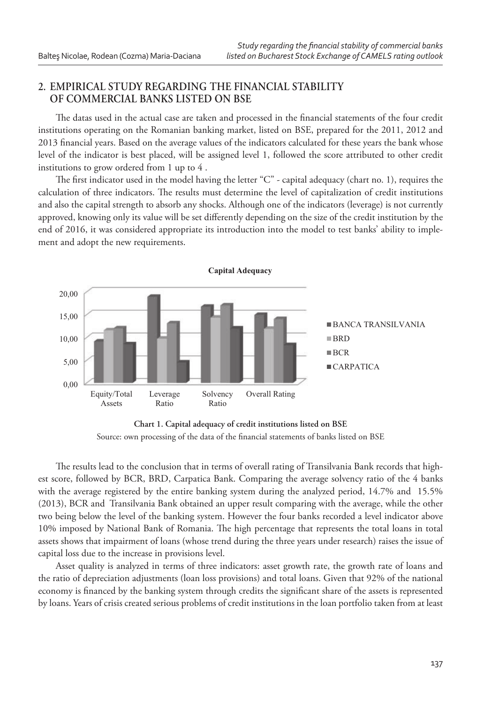## **2. EMPIRICAL STUDY REGARDING THE FINANCIAL STABILITY OF COMMERCIAL BANKS LISTED ON BSE**

The datas used in the actual case are taken and processed in the financial statements of the four credit institutions operating on the Romanian banking market, listed on BSE, prepared for the 2011, 2012 and 2013 financial years. Based on the average values of the indicators calculated for these years the bank whose level of the indicator is best placed, will be assigned level 1, followed the score attributed to other credit institutions to grow ordered from 1 up to 4 .

The first indicator used in the model having the letter " $C$ " - capital adequacy (chart no. 1), requires the calculation of three indicators. The results must determine the level of capitalization of credit institutions and also the capital strength to absorb any shocks. Although one of the indicators (leverage) is not currently approved, knowing only its value will be set differently depending on the size of the credit institution by the end of 2016, it was considered appropriate its introduction into the model to test banks' ability to implement and adopt the new requirements.





The results lead to the conclusion that in terms of overall rating of Transilvania Bank records that highest score, followed by BCR, BRD, Carpatica Bank. Comparing the average solvency ratio of the 4 banks with the average registered by the entire banking system during the analyzed period, 14.7% and 15.5% (2013), BCR and Transilvania Bank obtained an upper result comparing with the average, while the other two being below the level of the banking system. However the four banks recorded a level indicator above 10% imposed by National Bank of Romania. The high percentage that represents the total loans in total assets shows that impairment of loans (whose trend during the three years under research) raises the issue of capital loss due to the increase in provisions level.

Asset quality is analyzed in terms of three indicators: asset growth rate, the growth rate of loans and the ratio of depreciation adjustments (loan loss provisions) and total loans. Given that 92% of the national economy is financed by the banking system through credits the significant share of the assets is represented by loans. Years of crisis created serious problems of credit institutions in the loan portfolio taken from at least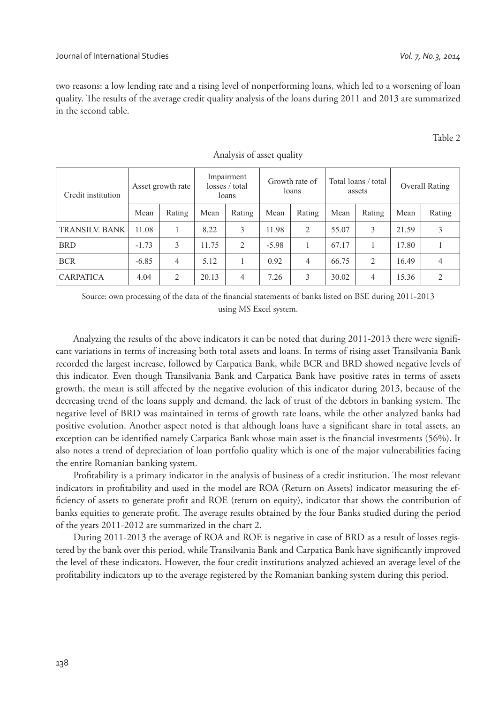two reasons: a low lending rate and a rising level of nonperforming loans, which led to a worsening of loan quality. The results of the average credit quality analysis of the loans during 2011 and 2013 are summarized in the second table.

Table 2

| Credit institution    | Asset growth rate |                | Impairment<br>losses / total<br>loans |                | Growth rate of<br>loans |                | Total loans / total<br>assets |                | Overall Rating |                |
|-----------------------|-------------------|----------------|---------------------------------------|----------------|-------------------------|----------------|-------------------------------|----------------|----------------|----------------|
|                       | Mean              | Rating         | Mean                                  | Rating         | Mean                    | Rating         | Mean                          | Rating         | Mean           | Rating         |
| <b>TRANSILV, BANK</b> | 11.08             |                | 8.22                                  | 3              | 11.98                   | $\overline{2}$ | 55.07                         | 3              | 21.59          | 3              |
| <b>BRD</b>            | $-1.73$           | 3              | 11.75                                 | $\overline{2}$ | $-5.98$                 |                | 67.17                         |                | 17.80          |                |
| <b>BCR</b>            | $-6.85$           | $\overline{4}$ | 5.12                                  |                | 0.92                    | $\overline{4}$ | 66.75                         | $\overline{2}$ | 16.49          | 4              |
| <b>CARPATICA</b>      | 4.04              | 2              | 20.13                                 | $\overline{4}$ | 7.26                    | 3              | 30.02                         | 4              | 15.36          | $\overline{c}$ |

#### Analysis of asset quality

Source: own processing of the data of the financial statements of banks listed on BSE during 2011-2013 using MS Excel system.

Analyzing the results of the above indicators it can be noted that during 2011-2013 there were significant variations in terms of increasing both total assets and loans. In terms of rising asset Transilvania Bank recorded the largest increase, followed by Carpatica Bank, while BCR and BRD showed negative levels of this indicator. Even though Transilvania Bank and Carpatica Bank have positive rates in terms of assets growth, the mean is still affected by the negative evolution of this indicator during 2013, because of the decreasing trend of the loans supply and demand, the lack of trust of the debtors in banking system. The negative level of BRD was maintained in terms of growth rate loans, while the other analyzed banks had positive evolution. Another aspect noted is that although loans have a significant share in total assets, an exception can be identified namely Carpatica Bank whose main asset is the financial investments (56%). It also notes a trend of depreciation of loan portfolio quality which is one of the major vulnerabilities facing the entire Romanian banking system.

Profitability is a primary indicator in the analysis of business of a credit institution. The most relevant indicators in profitability and used in the model are ROA (Return on Assets) indicator measuring the efficiency of assets to generate profit and ROE (return on equity), indicator that shows the contribution of banks equities to generate profit. The average results obtained by the four Banks studied during the period of the years 2011-2012 are summarized in the chart 2.

During 2011-2013 the average of ROA and ROE is negative in case of BRD as a result of losses registered by the bank over this period, while Transilvania Bank and Carpatica Bank have significantly improved the level of these indicators. However, the four credit institutions analyzed achieved an average level of the profitability indicators up to the average registered by the Romanian banking system during this period.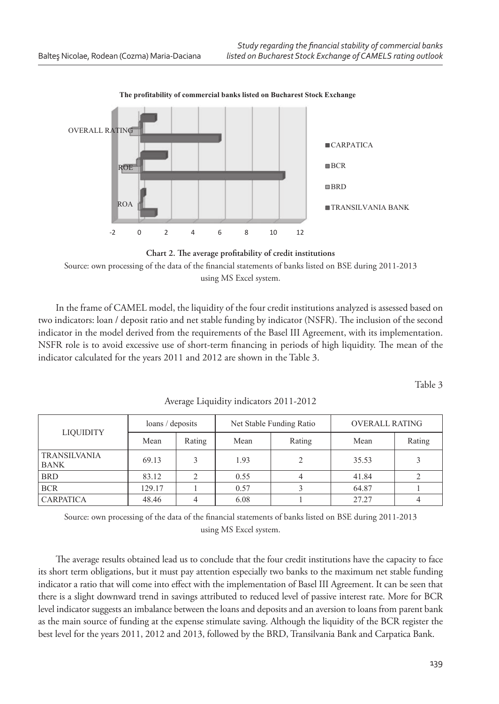

The profitability of commercial banks listed on Bucharest Stock Exchange



In the frame of CAMEL model, the liquidity of the four credit institutions analyzed is assessed based on two indicators: loan / deposit ratio and net stable funding by indicator (NSFR). The inclusion of the second indicator in the model derived from the requirements of the Basel III Agreement, with its implementation. NSFR role is to avoid excessive use of short-term financing in periods of high liquidity. The mean of the indicator calculated for the years 2011 and 2012 are shown in the Table 3.

Table 3

| <b>LIQUIDITY</b>                   | loans / deposits |        |      | Net Stable Funding Ratio | <b>OVERALL RATING</b> |        |  |
|------------------------------------|------------------|--------|------|--------------------------|-----------------------|--------|--|
|                                    | Mean             | Rating | Mean | Rating                   | Mean                  | Rating |  |
| <b>TRANSILVANIA</b><br><b>BANK</b> | 69.13            |        | 1.93 | $\overline{2}$           | 35.53                 |        |  |
| <b>BRD</b>                         | 83.12            |        | 0.55 |                          | 41.84                 |        |  |
| <b>BCR</b>                         | 129.17           |        | 0.57 |                          | 64.87                 |        |  |
| <b>CARPATICA</b>                   | 48.46            |        | 6.08 |                          | 27.27                 |        |  |

Average Liquidity indicators 2011-2012

Source: own processing of the data of the financial statements of banks listed on BSE during 2011-2013 using MS Excel system.

The average results obtained lead us to conclude that the four credit institutions have the capacity to face its short term obligations, but it must pay attention especially two banks to the maximum net stable funding indicator a ratio that will come into effect with the implementation of Basel III Agreement. It can be seen that there is a slight downward trend in savings attributed to reduced level of passive interest rate. More for BCR level indicator suggests an imbalance between the loans and deposits and an aversion to loans from parent bank as the main source of funding at the expense stimulate saving. Although the liquidity of the BCR register the best level for the years 2011, 2012 and 2013, followed by the BRD, Transilvania Bank and Carpatica Bank.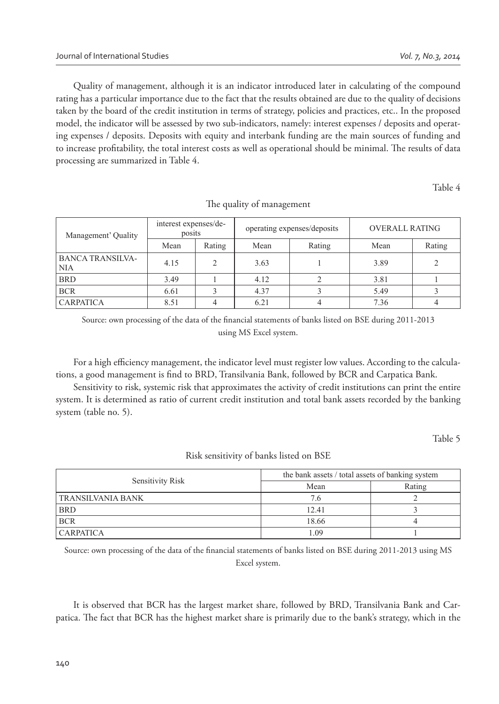Quality of management, although it is an indicator introduced later in calculating of the compound rating has a particular importance due to the fact that the results obtained are due to the quality of decisions taken by the board of the credit institution in terms of strategy, policies and practices, etc.. In the proposed model, the indicator will be assessed by two sub-indicators, namely: interest expenses / deposits and operating expenses / deposits. Deposits with equity and interbank funding are the main sources of funding and to increase profitability, the total interest costs as well as operational should be minimal. The results of data processing are summarized in Table 4.

Table 4

| Management' Quality                   | interest expenses/de-<br>posits |        |      | operating expenses/deposits | <b>OVERALL RATING</b> |        |
|---------------------------------------|---------------------------------|--------|------|-----------------------------|-----------------------|--------|
|                                       | Mean                            | Rating | Mean | Rating                      | Mean                  | Rating |
| <b>BANCA TRANSILVA-</b><br><b>NIA</b> | 4.15                            |        | 3.63 |                             | 3.89                  |        |
| <b>BRD</b>                            | 3.49                            |        | 4.12 |                             | 3.81                  |        |
| <b>BCR</b>                            | 6.61                            |        | 4.37 |                             | 5.49                  |        |
| <b>CARPATICA</b>                      | 8.51                            |        | 6.21 |                             | 7.36                  |        |

The quality of management

Source: own processing of the data of the financial statements of banks listed on BSE during 2011-2013 using MS Excel system.

For a high efficiency management, the indicator level must register low values. According to the calculations, a good management is find to BRD, Transilvania Bank, followed by BCR and Carpatica Bank.

Sensitivity to risk, systemic risk that approximates the activity of credit institutions can print the entire system. It is determined as ratio of current credit institution and total bank assets recorded by the banking system (table no. 5).

Table 5

Risk sensitivity of banks listed on BSE

| Sensitivity Risk  | the bank assets / total assets of banking system |        |  |  |
|-------------------|--------------------------------------------------|--------|--|--|
|                   | Mean                                             | Rating |  |  |
| TRANSILVANIA BANK | 7.6                                              |        |  |  |
| <b>BRD</b>        | 12.41                                            |        |  |  |
| <b>BCR</b>        | 18.66                                            |        |  |  |
| <b>CARPATICA</b>  | 1.09                                             |        |  |  |

Source: own processing of the data of the financial statements of banks listed on BSE during 2011-2013 using MS Excel system.

It is observed that BCR has the largest market share, followed by BRD, Transilvania Bank and Carpatica. The fact that BCR has the highest market share is primarily due to the bank's strategy, which in the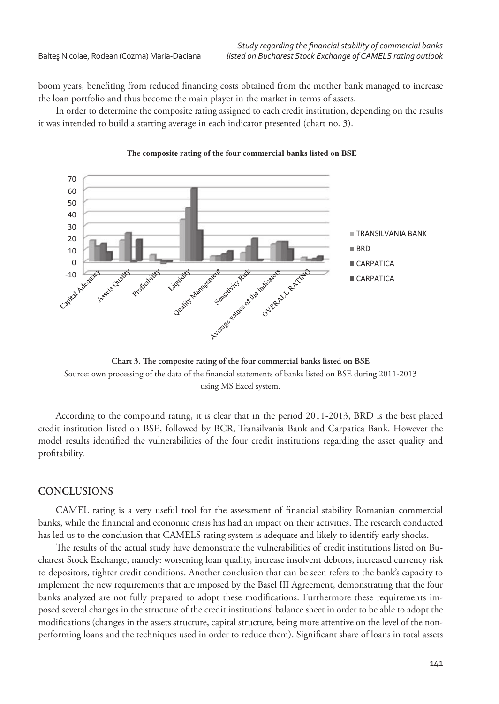boom years, benefiting from reduced financing costs obtained from the mother bank managed to increase the loan portfolio and thus become the main player in the market in terms of assets.

In order to determine the composite rating assigned to each credit institution, depending on the results it was intended to build a starting average in each indicator presented (chart no. 3).



#### The composite rating of the four commercial banks listed on BSE

Chart 3. The composite rating of the four commercial banks listed on BSE Source: own processing of the data of the financial statements of banks listed on BSE during 2011-2013 using MS Excel system.

According to the compound rating, it is clear that in the period 2011-2013, BRD is the best placed credit institution listed on BSE, followed by BCR, Transilvania Bank and Carpatica Bank. However the model results identified the vulnerabilities of the four credit institutions regarding the asset quality and profitability.

#### **CONCLUSIONS**

CAMEL rating is a very useful tool for the assessment of financial stability Romanian commercial banks, while the financial and economic crisis has had an impact on their activities. The research conducted has led us to the conclusion that CAMELS rating system is adequate and likely to identify early shocks.

The results of the actual study have demonstrate the vulnerabilities of credit institutions listed on Bucharest Stock Exchange, namely: worsening loan quality, increase insolvent debtors, increased currency risk to depositors, tighter credit conditions. Another conclusion that can be seen refers to the bank's capacity to implement the new requirements that are imposed by the Basel III Agreement, demonstrating that the four banks analyzed are not fully prepared to adopt these modifications. Furthermore these requirements imposed several changes in the structure of the credit institutions' balance sheet in order to be able to adopt the modifications (changes in the assets structure, capital structure, being more attentive on the level of the nonperforming loans and the techniques used in order to reduce them). Significant share of loans in total assets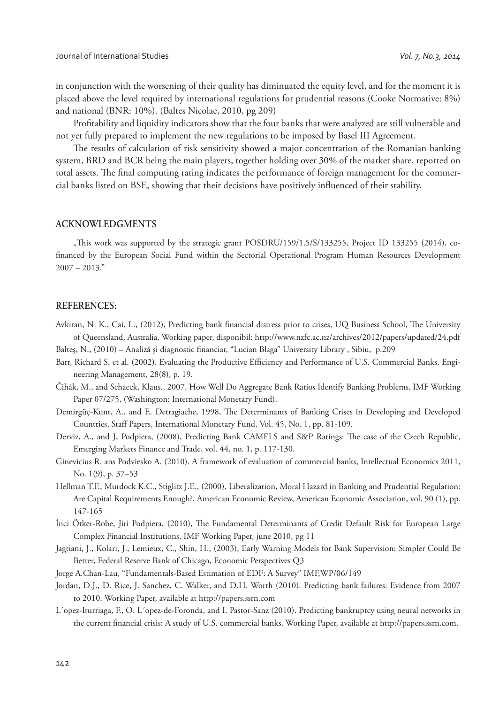in conjunction with the worsening of their quality has diminuated the equity level, and for the moment it is placed above the level required by international regulations for prudential reasons (Cooke Normative: 8%) and national (BNR: 10%). (Baltes Nicolae, 2010, pg 209)

Profitability and liquidity indicators show that the four banks that were analyzed are still vulnerable and not yet fully prepared to implement the new regulations to be imposed by Basel III Agreement.

The results of calculation of risk sensitivity showed a major concentration of the Romanian banking system, BRD and BCR being the main players, together holding over 30% of the market share, reported on total assets. The final computing rating indicates the performance of foreign management for the commercial banks listed on BSE, showing that their decisions have positively influenced of their stability.

#### **ACKNOWLEDGMENTS**

"This work was supported by the strategic grant POSDRU/159/1.5/S/133255, Project ID 133255 (2014), cofinanced by the European Social Fund within the Sectorial Operational Program Human Resources Development  $2007 - 2013."$ 

#### **REFERENCES:**

- Avkiran, N. K., Cai, L., (2012), Predicting bank financial distress prior to crises, UQ Business School, The University of Queensland, Australia, Working paper, disponibil: http://www.nzfc.ac.nz/archives/2012/papers/updated/24.pdf
- Balteş, N., (2010) Analiză și diagnostic financiar, "Lucian Blaga" University Library, Sibiu, p.209
- Barr, Richard S. et al. (2002). Evaluating the Productive Efficiency and Performance of U.S. Commercial Banks. Engineering Management, 28(8), p. 19.
- Čihák, M., and Schaeck, Klaus., 2007, How Well Do Aggregate Bank Ratios Identify Banking Problems, IMF Working Paper 07/275, (Washington: International Monetary Fund).
- Demirgüç-Kunt, A., and E. Detragiache, 1998, The Determinants of Banking Crises in Developing and Developed Countries, Staff Papers, International Monetary Fund, Vol. 45, No. 1, pp. 81-109.
- Derviz, A., and J, Podpiera, (2008), Predicting Bank CAMELS and S&P Ratings: The case of the Czech Republic, Emerging Markets Finance and Trade, vol. 44, no. 1, p. 117-130.
- Ginevicius R. ans Podviesko A. (2010). A framework of evaluation of commercial banks, Intellectual Economics 2011, No. 1(9), p. 37–53
- Hellman T.F., Murdock K.C., Stiglitz J.E., (2000), Liberalization, Moral Hazard in Banking and Prudential Regulation: Are Capital Requirements Enough?, American Economic Review, American Economic Association, vol. 90 (1), pp. 147-165
- İnci Ötker-Robe, Jiri Podpiera, (2010), Q e Fundamental Determinants of Credit Default Risk for European Large Complex Financial Institutions, IMF Working Paper, june 2010, pg 11
- Jagtiani, J., Kolari, J., Lemieux, C., Shin, H., (2003), Early Warning Models for Bank Supervision: Simpler Could Be Better, Federal Reserve Bank of Chicago, Economic Perspectives Q3
- Jorge A.Chan-Lau, "Fundamentals-Based Estimation of EDF: A Survey" IMF,WP/06/149
- Jordan, D.J., D. Rice, J. Sanchez, C. Walker, and D.H. Worth (2010). Predicting bank failures: Evidence from 2007 to 2010. Working Paper, available at http://papers.ssrn.com
- L´opez-Iturriaga, F., O. L´opez-de-Foronda, and I. Pastor-Sanz (2010). Predicting bankruptcy using neural networks in the current financial crisis: A study of U.S. commercial banks. Working Paper, available at http://papers.ssrn.com.